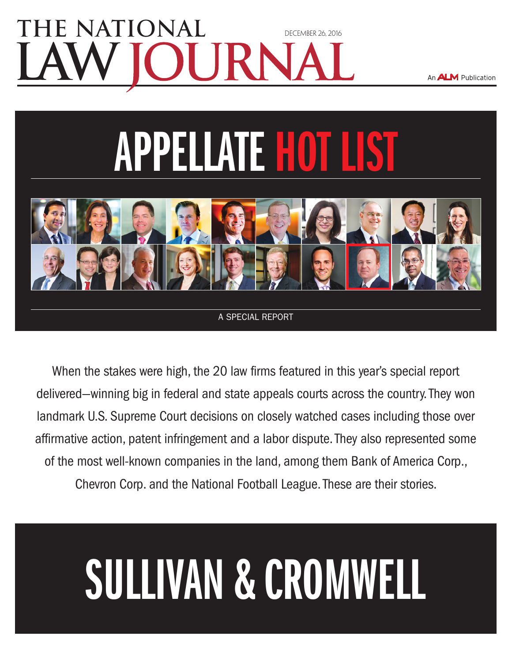### E NATIONAI [DECEMBER 26, 2016](www.nlj.com)

An **ALM** Publication

# **APPELLATE HOT LIST**



A special report

When the stakes were high, the 20 law firms featured in this year's special report delivered—winning big in federal and state appeals courts across the country. They won landmark U.S. Supreme Court decisions on closely watched cases including those over affirmative action, patent infringement and a labor dispute. They also represented some of the most well-known companies in the land, among them Bank of America Corp., Chevron Corp. and the National Football League. These are their stories.

## Sullivan & Cromwell